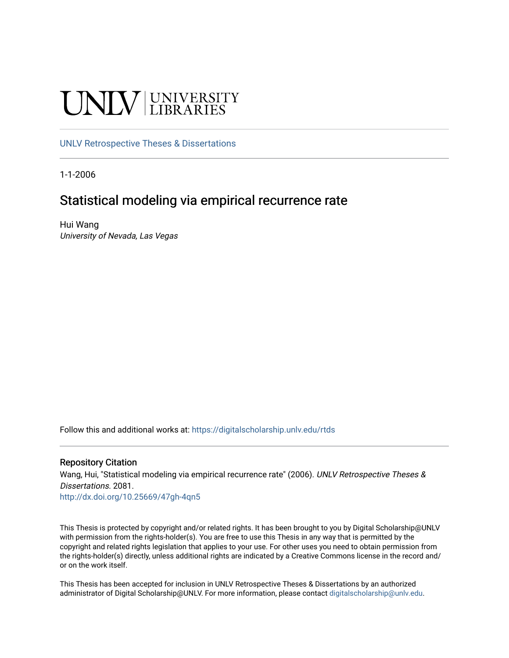# UNIV UNIVERSITY

# [UNLV Retrospective Theses & Dissertations](https://digitalscholarship.unlv.edu/rtds)

1-1-2006

# Statistical modeling via empirical recurrence rate

Hui Wang University of Nevada, Las Vegas

Follow this and additional works at: [https://digitalscholarship.unlv.edu/rtds](https://digitalscholarship.unlv.edu/rtds?utm_source=digitalscholarship.unlv.edu%2Frtds%2F2081&utm_medium=PDF&utm_campaign=PDFCoverPages)

#### Repository Citation

Wang, Hui, "Statistical modeling via empirical recurrence rate" (2006). UNLV Retrospective Theses & Dissertations. 2081.

<http://dx.doi.org/10.25669/47gh-4qn5>

This Thesis is protected by copyright and/or related rights. It has been brought to you by Digital Scholarship@UNLV with permission from the rights-holder(s). You are free to use this Thesis in any way that is permitted by the copyright and related rights legislation that applies to your use. For other uses you need to obtain permission from the rights-holder(s) directly, unless additional rights are indicated by a Creative Commons license in the record and/ or on the work itself.

This Thesis has been accepted for inclusion in UNLV Retrospective Theses & Dissertations by an authorized administrator of Digital Scholarship@UNLV. For more information, please contact [digitalscholarship@unlv.edu.](mailto:digitalscholarship@unlv.edu)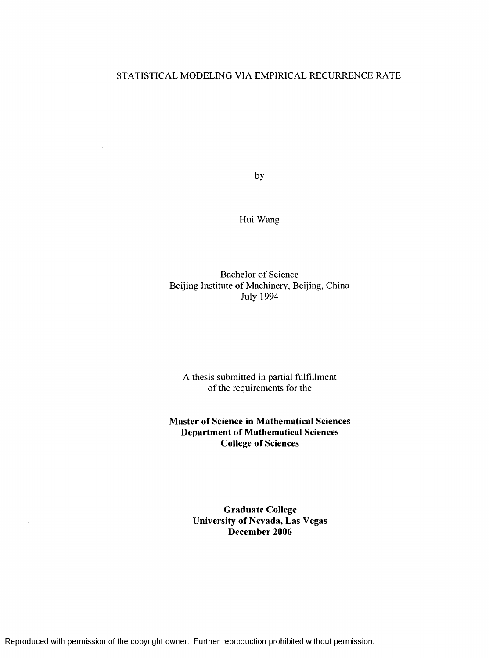# STATISTICAL MODELING VIA EMPIRICAL RECURRENCE RATE

by

Hui Wang

Bachelor of Science Beijing Institute of Machinery, Beijing, China July 1994

A thesis submitted in partial fulfillment of the requirements for the

**Master of Science in Mathematical Sciences Department of Mathematical Sciences College of Sciences**

> **Graduate College University of Nevada, Las Vegas December 2006**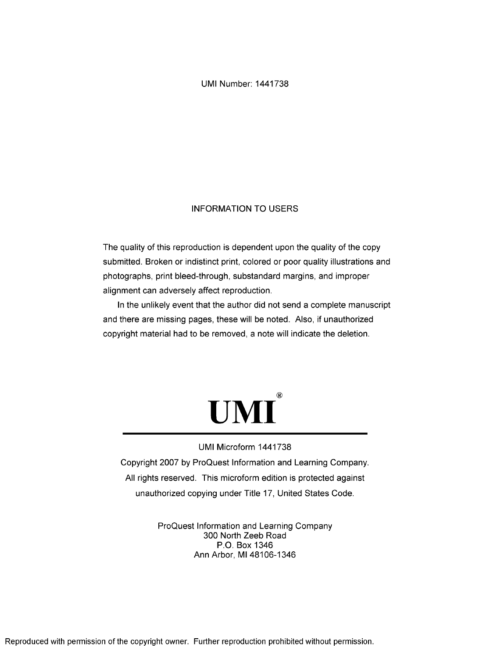UMI Number: 1441738

# INFORMATION TO USERS

The quality of this reproduction is dependent upon the quality of the copy submitted. Broken or indistinct print, colored or poor quality illustrations and photographs, print bleed-through, substandard margins, and improper alignment can adversely affect reproduction.

In the unlikely event that the author did not send a complete manuscript and there are missing pages, these will be noted. Also, if unauthorized copyright material had to be removed, a note will indicate the deletion.



#### UMI Microform 1441738

Copyright 2007 by ProQuest Information and Learning Company. All rights reserved. This microform edition is protected against unauthorized copying under Title 17, United States Code.

> ProQuest Information and Learning Company 300 North Zeeb Road P.O. Box 1346 Ann Arbor, Ml 48106-1346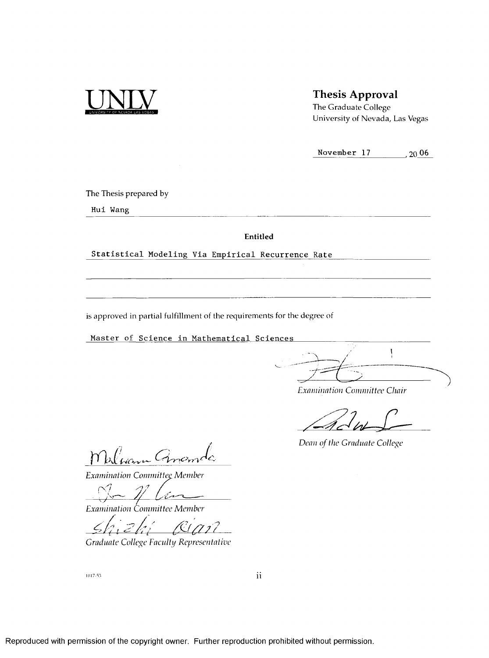

# **Thesis Approval**

**The Graduate College University of Nevada, Las Vegas**

**November 17** ■ **20 06**

**The Thesis prepared by**

**H ui Wang**

**Entitled** 

Statistical Modeling Via Empirical Recurrence Rate

**is approved in partial fulfillment of the requirements for the degree of**

**Master of Science in Mathematical Sciences** 

 $\overline{\mathsf{I}}$ ->/

*Examination Committee Chair*

*Dean of the Graduate College* 

Warn Anon

**Examination Committee Member** 

— *y/ !*

*Examination Committee Member* 

*Graduate College Faculty Representative*

1017-53

 $\rm ii$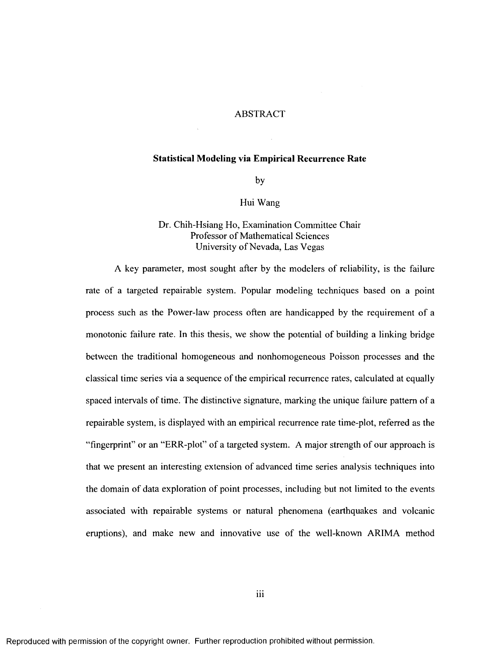#### ABSTRACT

#### **Statistical Modeling via Empirical Recurrence Rate**

by

#### Hui Wang

# Dr. Chih-Hsiang Ho, Examination Committee Chair Professor of Mathematical Sciences University of Nevada, Las Vegas

A key parameter, most sought after by the modelers of reliability, is the failure rate of a targeted repairable system. Popular modeling techniques based on a point process such as the Power-law process often are handicapped by the requirement of a monotonie failure rate. In this thesis, we show the potential of building a linking bridge between the traditional homogeneous and nonhomogeneous Poisson processes and the classical time series via a sequence of the empirical recurrence rates, calculated at equally spaced intervals of time. The distinctive signature, marking the unique failure pattern of a repairable system, is displayed with an empirical recurrence rate time-plot, referred as the "fingerprint" or an "ERR-plot" of a targeted system. A major strength of our approach is that we present an interesting extension of advanced time series analysis techniques into the domain of data exploration of point processes, including but not limited to the events associated with repairable systems or natural phenomena (earthquakes and volcanic eruptions), and make new and innovative use of the well-known ARIMA method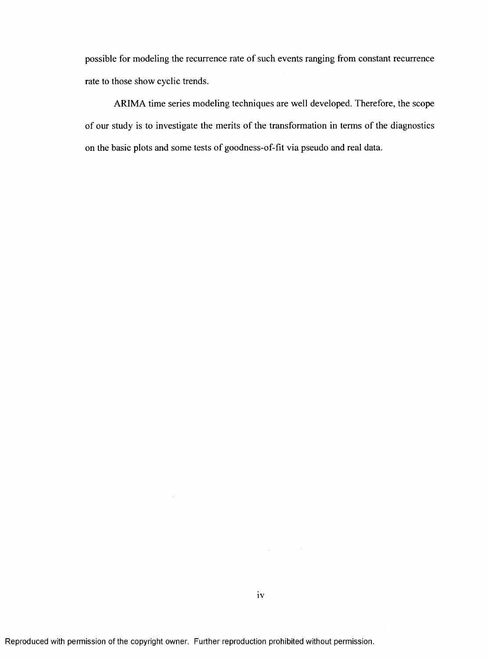possible for modeling the recurrence rate of such events ranging from constant recurrence rate to those show cyclic trends.

ARIMA time series modeling techniques are well developed. Therefore, the scope of our study is to investigate the merits of the transformation in terms of the diagnostics on the basic plots and some tests of goodness-of-fit via pseudo and real data.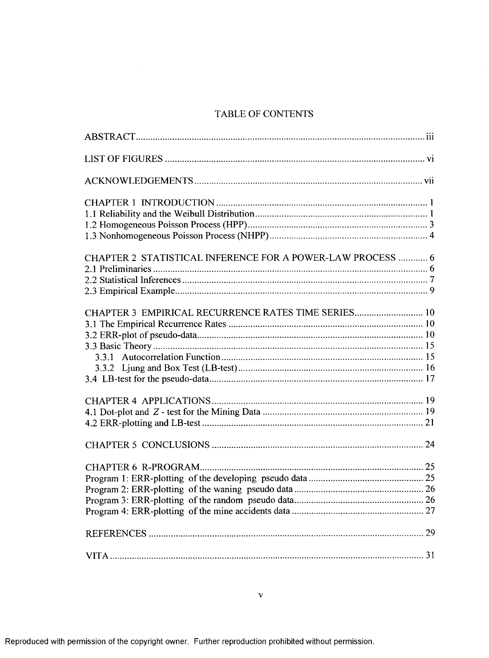# TABLE OF CONTENTS

| CHAPTER 2 STATISTICAL INFERENCE FOR A POWER-LAW PROCESS  6 |  |
|------------------------------------------------------------|--|
|                                                            |  |
|                                                            |  |
|                                                            |  |
| CHAPTER 3 EMPIRICAL RECURRENCE RATES TIME SERIES 10        |  |
|                                                            |  |
|                                                            |  |
|                                                            |  |
|                                                            |  |
|                                                            |  |
|                                                            |  |
|                                                            |  |
|                                                            |  |
|                                                            |  |
|                                                            |  |
|                                                            |  |
|                                                            |  |
|                                                            |  |
|                                                            |  |
|                                                            |  |
|                                                            |  |
|                                                            |  |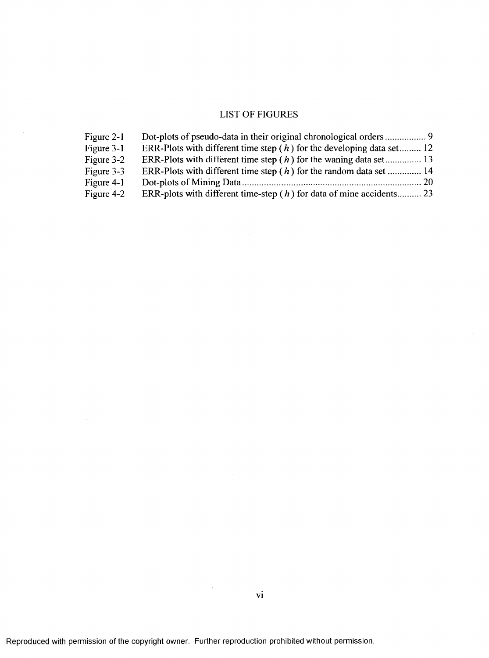# LIST OF FIGURES

| Figure 2-1 |                                                                         |
|------------|-------------------------------------------------------------------------|
| Figure 3-1 | ERR-Plots with different time step $(h)$ for the developing data set 12 |
| Figure 3-2 | ERR-Plots with different time step $(h)$ for the waning data set 13     |
| Figure 3-3 | ERR-Plots with different time step $(h)$ for the random data set  14    |
| Figure 4-1 |                                                                         |
| Figure 4-2 | ERR-plots with different time-step $(h)$ for data of mine accidents 23  |

 $\mathcal{A}$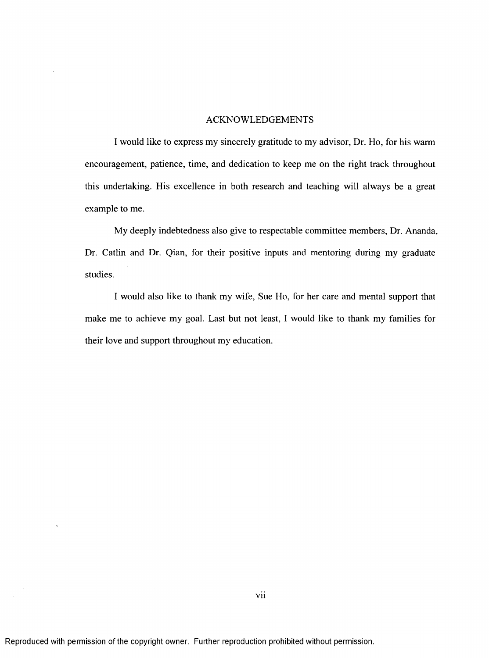#### ACKNOWLEDGEMENTS

1 would like to express my sincerely gratitude to my advisor. Dr. Ho, for his warm encouragement, patience, time, and dedication to keep me on the right track throughout this undertaking. His excellence in both research and teaching will always be a great example to me.

My deeply indebtedness also give to respectable committee members. Dr. Ananda, Dr. Catlin and Dr. Qian, for their positive inputs and mentoring during my graduate studies.

1 would also like to thank my wife. Sue Ho, for her care and mental support that make me to achieve my goal. Last but not least, 1 would like to thank my families for their love and support throughout my education.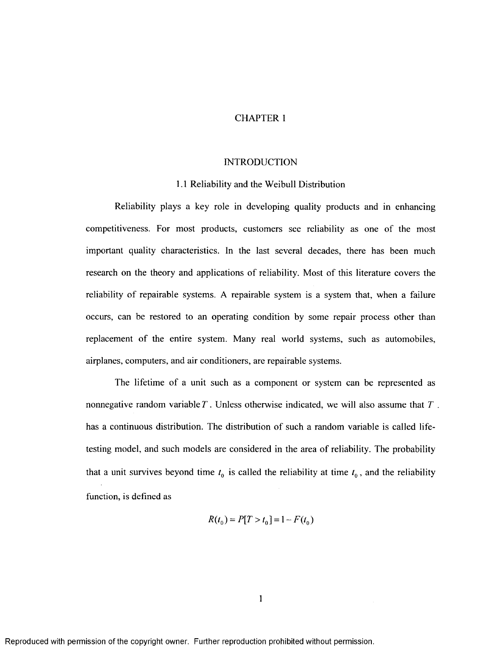# CHAPTER 1

#### **INTRODUCTION**

#### 1.1 Reliability and the Weibull Distribution

Reliability plays a key role in developing quality products and in enhancing competitiveness. For most products, customers see reliability as one of the most important quality characteristics. In the last several decades, there has been much research on the theory and applications of reliability. Most of this literature covers the reliability of repairable systems. A repairable system is a system that, when a failure occurs, can be restored to an operating condition by some repair process other than replaeement of the entire system. Many real world systems, such as automobiles, airplanes, computers, and air conditioners, are repairable systems.

The lifetime of a unit such as a component or system can be represented as nonnegative random variable *T .* Unless otherwise indicated, we will also assume that *T .* has a continuous distribution. The distribution of such a random variable is called lifetesting model, and such models are considered in the area of reliability. The probability that a unit survives beyond time  $t_0$  is called the reliability at time  $t_0$ , and the reliability function, is defined as

$$
R(t_0) = P[T > t_0] = 1 - F(t_0)
$$

 $\mathbf{1}$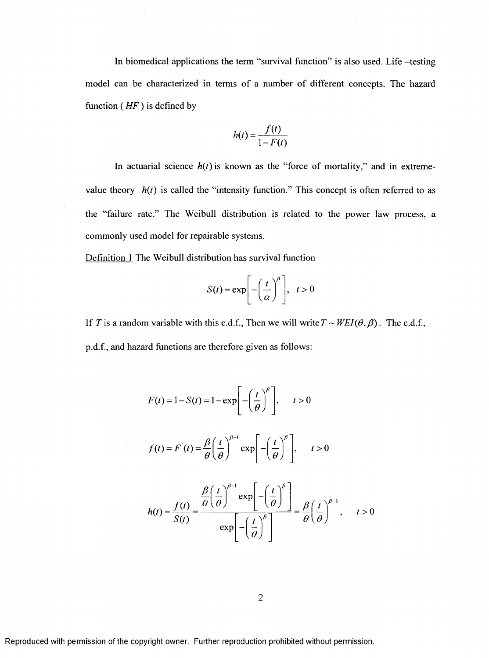In biomedical applications the term "survival function" is also used. Life -testing model can be characterized in terms of a number of different concepts. The hazard function ( *HF* ) is defined by

$$
h(t) = \frac{f(t)}{1 - F(t)}
$$

In actuarial science  $h(t)$  is known as the "force of mortality," and in extremevalue theory  $h(t)$  is called the "intensity function." This concept is often referred to as the "failure rate." The Weibull distribution is related to the power law process, a commonly used model for repairable systems.

Definition 1 The Weibull distribution has survival function

$$
S(t) = \exp\left[-\left(\frac{t}{\alpha}\right)^{\beta}\right], \quad t > 0
$$

If T is a random variable with this c.d.f., Then we will write  $T \sim WEI(\theta, \beta)$ . The c.d.f., p.d.f, and hazard functions are therefore given as follows:

$$
F(t) = 1 - S(t) = 1 - \exp\left[-\left(\frac{t}{\theta}\right)^{\beta}\right], \quad t > 0
$$
  

$$
f(t) = F'(t) = \frac{\beta}{\theta} \left(\frac{t}{\theta}\right)^{\beta - 1} \exp\left[-\left(\frac{t}{\theta}\right)^{\beta}\right], \quad t > 0
$$
  

$$
h(t) = \frac{f(t)}{S(t)} = \frac{\frac{\beta}{\theta} \left(\frac{t}{\theta}\right)^{\beta - 1} \exp\left[-\left(\frac{t}{\theta}\right)^{\beta}\right]}{\exp\left[-\left(\frac{t}{\theta}\right)^{\beta}\right]} = \frac{\beta}{\theta} \left(\frac{t}{\theta}\right)^{\beta - 1}, \quad t > 0
$$

 $\overline{2}$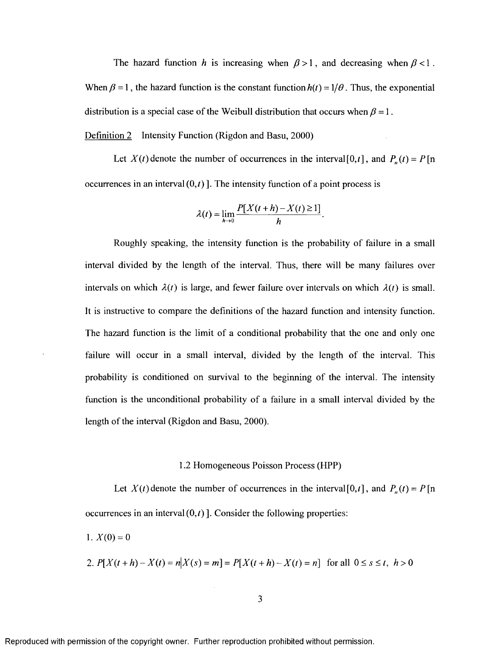The hazard function *h* is increasing when  $\beta > 1$ , and decreasing when  $\beta < 1$ . When  $\beta = 1$ , the hazard function is the constant function  $h(t) = 1/\theta$ . Thus, the exponential distribution is a special case of the Weibull distribution that occurs when  $\beta = 1$ .

Definition 2 Intensity Function (Rigdon and Basu, 2000)

Let  $X(t)$  denote the number of occurrences in the interval [0,t], and  $P_n(t) = P$  [n occurrences in an interval  $(0,t)$ ]. The intensity function of a point process is

$$
\lambda(t) = \lim_{h \to 0} \frac{P[X(t+h) - X(t) \ge 1]}{h}.
$$

Roughly speaking, the intensity function is the probability of failure in a small interval divided by the length of the interval. Thus, there will be many failures over intervals on which  $\lambda(t)$  is large, and fewer failure over intervals on which  $\lambda(t)$  is small. It is instructive to compare the definitions of the hazard function and intensity function. The hazard function is the limit of a conditional probability that the one and only one failure will occur in a small interval, divided by the length of the interval. This probability is conditioned on survival to the beginning of the interval. The intensity function is the unconditional probability of a failure in a small interval divided by the length of the interval (Rigdon and Basu, 2000).

#### 1.2 Homogeneous Poisson Process (HPP)

Let  $X(t)$  denote the number of occurrences in the interval [0,t], and  $P_n(t) = P$  [n] occurrences in an interval  $(0,t)$ ]. Consider the following properties:

1.  $X(0) = 0$ 

2. 
$$
P[X(t+h) - X(t) = n | X(s) = m] = P[X(t+h) - X(t) = n]
$$
 for all  $0 \le s \le t, h > 0$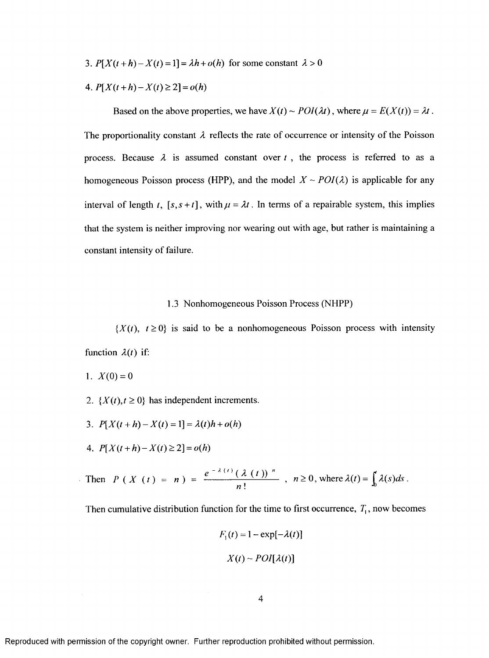3.  $P[X(t+h) - X(t) = 1] = \lambda h + o(h)$  for some constant  $\lambda > 0$ 

$$
4. P[X(t+h) - X(t) \ge 2] = o(h)
$$

Based on the above properties, we have  $X(t) \sim \text{POI}(\lambda t)$ , where  $\mu = E(X(t)) = \lambda t$ . The proportionality constant  $\lambda$  reflects the rate of occurrence or intensity of the Poisson process. Because  $\lambda$  is assumed constant over  $t$ , the process is referred to as a homogeneous Poisson process (HPP), and the model  $X \sim POI(\lambda)$  is applicable for any interval of length *t*,  $[s, s + t]$ , with  $\mu = \lambda t$ . In terms of a repairable system, this implies that the system is neither improving nor wearing out with age, but rather is maintaining a constant intensity of failure.

#### 1.3 Nonhomogeneous Poisson Process (NHPP)

 ${X(t), t \ge 0}$  is said to be a nonhomogeneous Poisson process with intensity function  $\lambda(t)$  if:

- 1.  $X(0) = 0$
- 2.  $\{X(t), t \ge 0\}$  has independent increments.
- 3.  $P[X(t+h) X(t) = 1] = \lambda(t)h + o(h)$
- 4.  $P[X(t+h)-X(t)\geq 2]=o(h)$

Then 
$$
P(X(t) = n) = \frac{e^{-\lambda(t)}(\lambda(t))^n}{n!}
$$
,  $n \ge 0$ , where  $\lambda(t) = \int_0^t \lambda(s)ds$ .

Then cumulative distribution function for the time to first occurrence,  $T_1$ , now becomes

$$
F_1(t) = 1 - \exp[-\lambda(t)]
$$

$$
X(t) \sim POI[\lambda(t)]
$$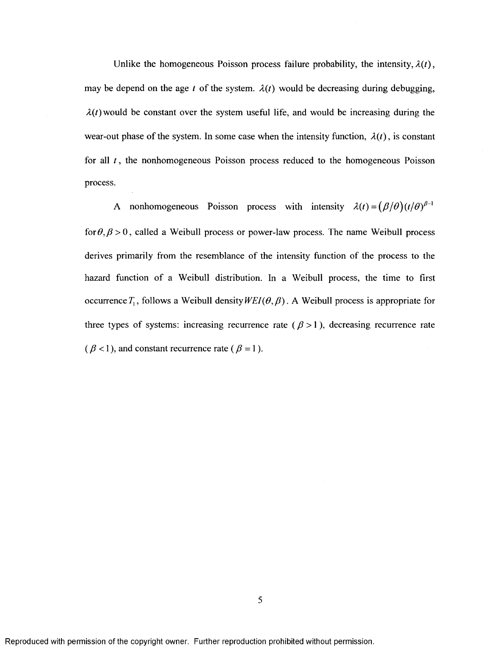Unlike the homogeneous Poisson process failure probability, the intensity,  $\lambda(t)$ , may be depend on the age *t* of the system.  $\lambda(t)$  would be decreasing during debugging,  $\lambda(t)$  would be constant over the system useful life, and would be increasing during the wear-out phase of the system. In some case when the intensity function,  $\lambda(t)$ , is constant for all *t* , the nonhomogeneous Poisson process reduced to the homogeneous Poisson process.

A nonhomogeneous Poisson process with intensity  $\lambda(t) = (\beta/\theta)(t/\theta)^{\beta-1}$ *for* $\theta$ , $\beta$  > 0, called a Weibull process or power-law process. The name Weibull process derives primarily from the resemblance of the intensity function of the process to the hazard function of a Weibull distribution. In a Weibull process, the time to first occurrence  $T_1$ , follows a Weibull density  $WEI(\theta,\beta)$ . A Weibull process is appropriate for three types of systems: increasing recurrence rate ( $\beta$  > 1), decreasing recurrence rate  $(\beta < 1)$ , and constant recurrence rate ( $\beta = 1$ ).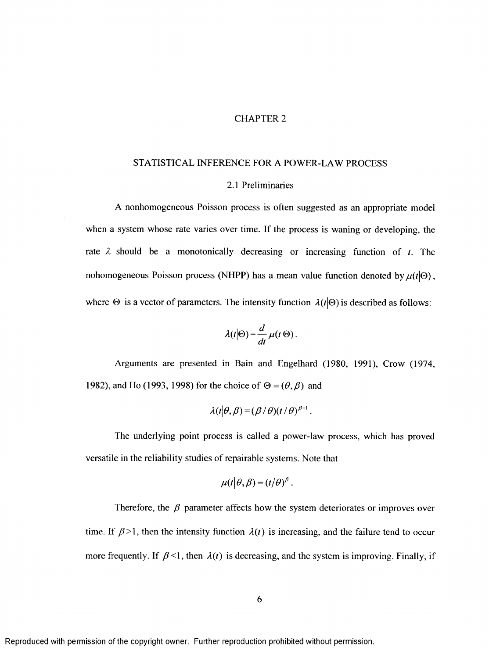## CHAPTER 2

#### STATISTICAL INFERENCE FOR A POWER-LAW PROCESS

#### 2.1 Preliminaries

A nonhomogeneous Poisson process is often suggested as an appropriate model when a system whose rate varies over time. If the process is waning or developing, the rate  $\lambda$  should be a monotonically decreasing or increasing function of  $t$ . The nohomogeneous Poisson process (NHPP) has a mean value function denoted by  $\mu(t|\Theta)$ , where  $\Theta$  is a vector of parameters. The intensity function  $\lambda(t|\Theta)$  is described as follows:

$$
\lambda(t|\Theta) = \frac{d}{dt} \mu(t|\Theta).
$$

Arguments are presented in Bain and Engelhard (1980, 1991), Crow (1974, 1982), and Ho (1993, 1998) for the choice of  $\Theta = (\theta, \beta)$  and

$$
\lambda(t|\theta,\beta)=(\beta/\theta)(t/\theta)^{\beta-1}.
$$

The underlying point process is called a power-law process, which has proved versatile in the reliability studies of repairable systems. Note that

$$
\mu(t|\theta,\beta)=(t|\theta)^{\beta}.
$$

Therefore, the  $\beta$  parameter affects how the system deteriorates or improves over time. If  $\beta$ >1, then the intensity function  $\lambda(t)$  is increasing, and the failure tend to occur more frequently. If  $\beta$  <1, then  $\lambda(t)$  is decreasing, and the system is improving. Finally, if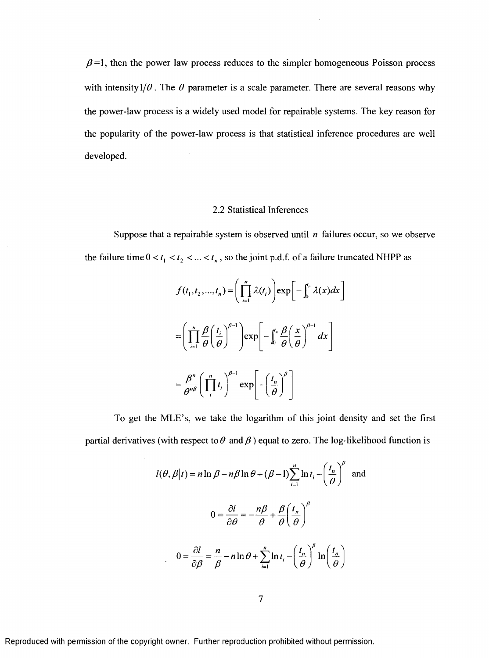$\beta$ =1, then the power law process reduces to the simpler homogeneous Poisson process with intensity  $1/\theta$ . The  $\theta$  parameter is a scale parameter. There are several reasons why the power-law process is a widely used model for repairable systems. The key reason for the popularity of the power-law process is that statistical inference procedures are well developed.

## 2.2 Statistical Inferences

Suppose that a repairable system is observed until *n* failures occur, so we observe the failure time  $0 < t_1 < t_2 < ... < t_n$ , so the joint p.d.f. of a failure truncated NHPP as

$$
f(t_1, t_2, ..., t_n) = \left(\prod_{i=1}^n \lambda(t_i)\right) \exp\left[-\int_0^r \lambda(x)dx\right]
$$

$$
= \left(\prod_{i=1}^n \frac{\beta}{\theta} \left(\frac{t_i}{\theta}\right)^{\beta-1}\right) \exp\left[-\int_0^r \frac{\beta}{\theta} \left(\frac{x}{\theta}\right)^{\beta-1} dx\right]
$$

$$
= \frac{\beta^n}{\theta^{n\beta}} \left(\prod_{i=1}^n t_i\right)^{\beta-1} \exp\left[-\left(\frac{t_n}{\theta}\right)^{\beta}\right]
$$

To get the MLE's, we take the logarithm of this joint density and set the first partial derivatives (with respect to  $\theta$  and  $\beta$ ) equal to zero. The log-likelihood function is

$$
l(\theta, \beta | t) = n \ln \beta - n\beta \ln \theta + (\beta - 1) \sum_{i=1}^{n} \ln t_i - \left(\frac{t_n}{\theta}\right)^{\beta} \text{ and}
$$

$$
0 = \frac{\partial l}{\partial \theta} = -\frac{n\beta}{\theta} + \frac{\beta}{\theta} \left(\frac{t_n}{\theta}\right)^{\beta}
$$

$$
0 = \frac{\partial l}{\partial \beta} = \frac{n}{\beta} - n \ln \theta + \sum_{i=1}^{n} \ln t_i - \left(\frac{t_n}{\theta}\right)^{\beta} \ln \left(\frac{t_n}{\theta}\right)
$$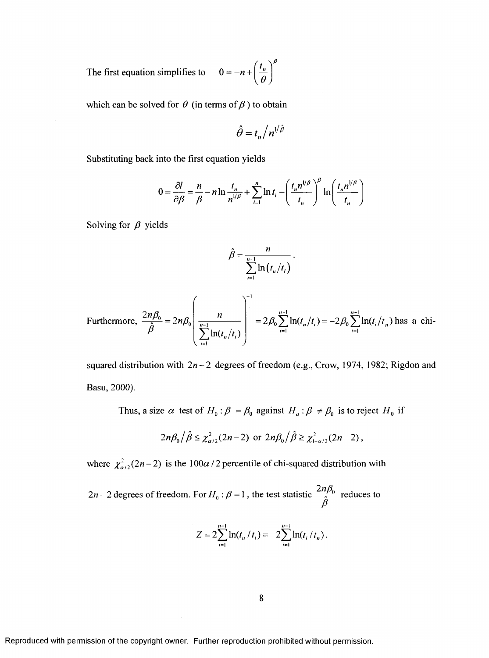The first equation simplifies to  $0 = -n + \left(\frac{t_n}{\theta}\right)^{\beta}$ 

which can be solved for  $\theta$  (in terms of  $\beta$ ) to obtain

$$
\hat{\theta} = t_n / n^{1/\hat{\beta}}
$$

Substituting back into the first equation yields

$$
0 = \frac{\partial l}{\partial \beta} = \frac{n}{\beta} - n \ln \frac{t_n}{n^{1/\beta}} + \sum_{i=1}^n \ln t_i - \left(\frac{t_n n^{1/\beta}}{t_n}\right)^{\beta} \ln \left(\frac{t_n n^{1/\beta}}{t_n}\right)
$$

Solving for  $\beta$  yields

$$
\hat{\beta} = \frac{n}{\sum_{i=1}^{n-1} \ln(t_n/t_i)}
$$

Furthermore, 
$$
\frac{2n\beta_0}{\hat{\beta}} = 2n\beta_0 \left( \frac{n}{\sum_{i=1}^{n-1} \ln(t_n/t_i)} \right)^{-1} = 2\beta_0 \sum_{i=1}^{n-1} \ln(t_n/t_i) = -2\beta_0 \sum_{i=1}^{n-1} \ln(t_i/t_n)
$$
 has a chi-

squared distribution with  $2n-2$  degrees of freedom (e.g., Crow, 1974, 1982; Rigdon and Basu, 2000).

Thus, a size  $\alpha$  test of  $H_0: \beta = \beta_0$  against  $H_a: \beta \neq \beta_0$  is to reject  $H_0$  if

$$
2n\beta_0/\hat{\beta} \leq \chi^2_{\alpha/2}(2n-2) \text{ or } 2n\beta_0/\hat{\beta} \geq \chi^2_{1-\alpha/2}(2n-2),
$$

where  $\chi^2_{\alpha/2}(2n-2)$  is the 100 $\alpha$  / 2 percentile of chi-squared distribution with

 $2n-2$  degrees of freedom. For  $H_0: \beta = 1$ , the test statistic  $\frac{2n\beta_0}{\hat{\beta}}$  reduces to

$$
Z = 2\sum_{i=1}^{n-1} \ln(t_n / t_i) = -2\sum_{i=1}^{n-1} \ln(t_i / t_n).
$$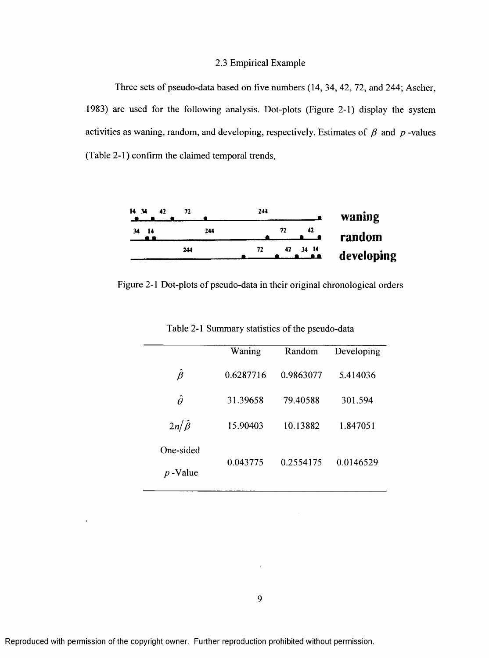# 2.3 Empirical Example

Three sets of pseudo-data based on five numbers (14, 34, 42, 72, and 244; Ascher, 1983) are used for the following analysis. Dot-plots (Figure 2-1) display the system activities as waning, random, and developing, respectively. Estimates of  $\beta$  and  $p$ -values (Table 2-1) confirm the claimed temporal trends,



Figure 2-1 Dot-plots of pseudo-data in their original chronological orders

|                  | Waning    | Random    | Developing |  |
|------------------|-----------|-----------|------------|--|
| Â                | 0.6287716 | 0.9863077 | 5.414036   |  |
| Â                | 31.39658  | 79.40588  | 301.594    |  |
| $2n/\hat{\beta}$ | 15.90403  | 10.13882  | 1.847051   |  |
| One-sided        |           |           |            |  |
| Value            | 0.043775  | 0.2554175 | 0.0146529  |  |

Table 2-1 Summary statistics of the pseudo-data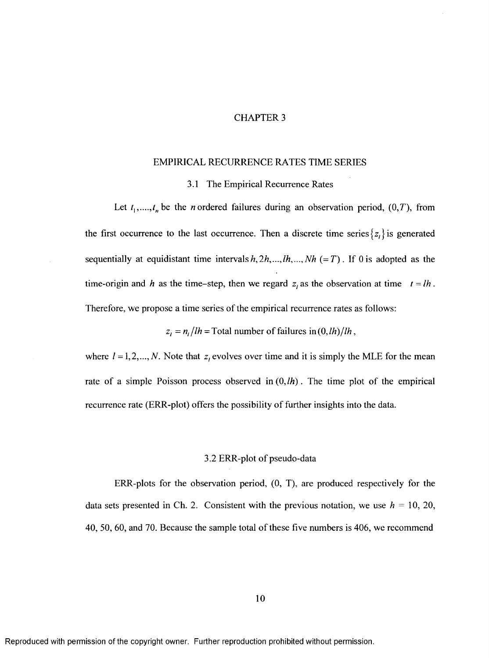#### CHAPTER 3

#### EMPIRICAL RECURRENCE RATES TIME SERIES

#### 3.1 The Empirical Recurrence Rates

Let  $t_1, \ldots, t_n$  be the *n* ordered failures during an observation period,  $(0, T)$ , from the first occurrence to the last occurrence. Then a discrete time series  $\{z_i\}$  is generated sequentially at equidistant time intervals  $h, 2h, ..., lh, ..., Nh (= T)$ . If 0 is adopted as the time-origin and *h* as the time-step, then we regard  $z_i$  as the observation at time  $t = lh$ . Therefore, we propose a time series of the empirical recurrence rates as follows:

 $z_i = n_i / lh$  = Total number of failures in  $(0, lh) / lh$ ,

where  $l = 1, 2, ..., N$ . Note that  $z_l$  evolves over time and it is simply the MLE for the mean rate of a simple Poisson process observed in  $(0, lh)$ . The time plot of the empirical recurrence rate (ERR-plot) offers the possibility of further insights into the data.

#### 3.2 ERR-plot of pseudo-data

ERR-plots for the observation period, (0, T), are produced respectively for the data sets presented in Ch. 2. Consistent with the previous notation, we use  $h = 10, 20$ , 40, 50, 60, and 70. Because the sample total of these five numbers is 406, we recommend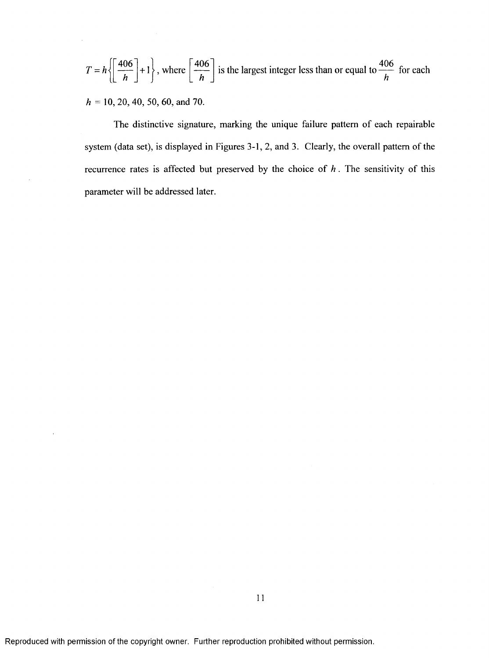$$
T = h \left\{ \left[ \frac{406}{h} \right] + 1 \right\}, \text{ where } \left[ \frac{406}{h} \right] \text{ is the largest integer less than or equal to } \frac{406}{h} \text{ for each}
$$

*h* = 10, 20, 40, 50, 60, and 70.

The distinctive signature, marking the unique failure pattern of each repairable system (data set), is displayed in Figures 3-1,2, and 3. Clearly, the overall pattern of the recurrence rates is affected but preserved by the choice of  $h$ . The sensitivity of this parameter will be addressed later.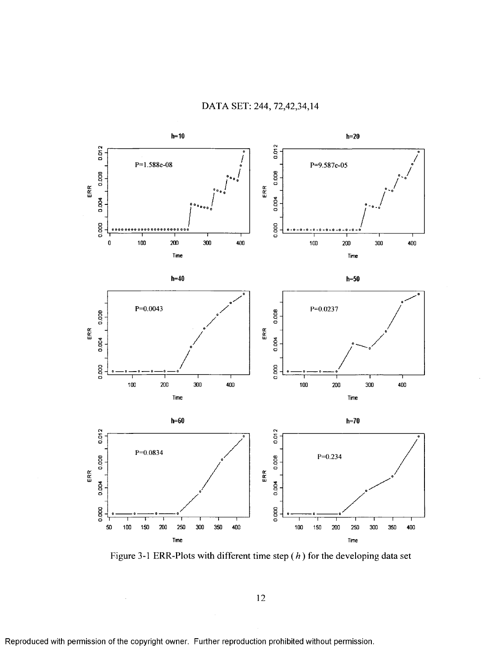

Figure 3-1 ERR-Plots with different time step  $(h)$  for the developing data set

12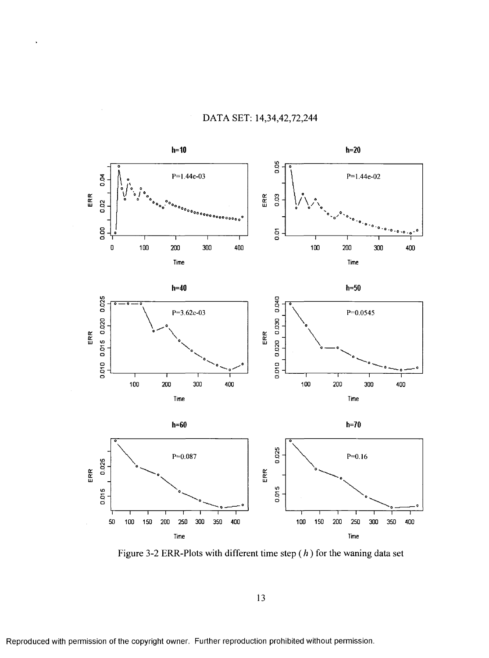



Figure 3-2 ERR-Plots with different time step  $(h)$  for the waning data set

13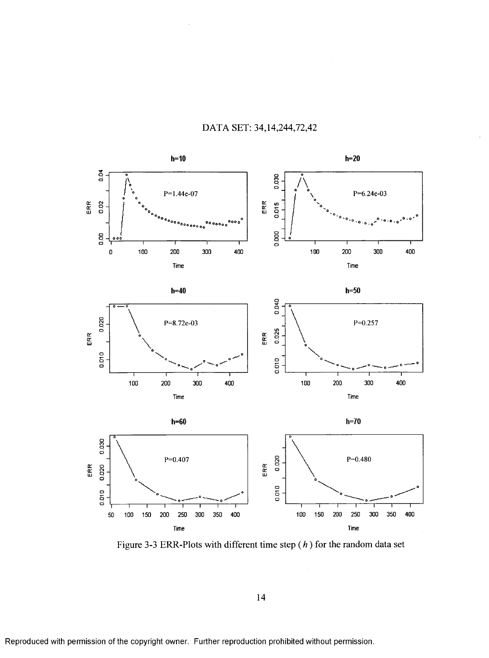

# DATA SET: 34,14,244,72,42

Figure 3-3 ERR-Plots with different time step  $(h)$  for the random data set

14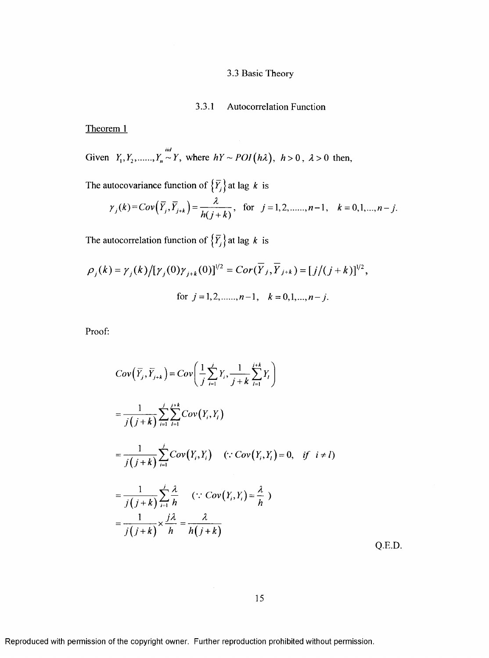# 3.3 Basic Theory

# 3.3.1 Autocorrelation Function

Theorem 1

Given 
$$
Y_1, Y_2, \dots, Y_n \sim Y
$$
, where  $hY \sim POI(h\lambda)$ ,  $h > 0$ ,  $\lambda > 0$  then,

The autocovariance function of  $\{\overline{Y}_j\}$  at lag *k* is

$$
\gamma_j(k) = Cov(\overline{Y}_j, \overline{Y}_{j+k}) = \frac{\lambda}{h(j+k)}, \text{ for } j = 1, 2, \dots, n-1, k = 0, 1, \dots, n-j.
$$

The autocorrelation function of  $\{\overline{Y}_j\}$  at lag *k* is

$$
\rho_j(k) = \gamma_j(k) / [\gamma_j(0)\gamma_{j+k}(0)]^{1/2} = Cor(\overline{Y}_j, \overline{Y}_{j+k}) = [j/(j+k)]^{1/2},
$$
  
for  $j = 1, 2, \dots, n-1, k = 0, 1, \dots, n-j.$ 

Proof:

$$
Cov\left(\overline{Y}_j, \overline{Y}_{j+k}\right) = Cov\left(\frac{1}{j}\sum_{i=1}^j Y_i, \frac{1}{j+k}\sum_{l=1}^{j+k} Y_l\right)
$$
  
\n
$$
= \frac{1}{j(j+k)} \sum_{i=1}^j \sum_{l=1}^{j+k} Cov(Y_i, Y_l)
$$
  
\n
$$
= \frac{1}{j(j+k)} \sum_{i=1}^j Cov(Y_i, Y_i) \quad (\because Cov(Y_i, Y_l) = 0, \text{ if } i \neq l)
$$
  
\n
$$
= \frac{1}{j(j+k)} \sum_{i=1}^j \frac{\lambda}{h} \quad (\because Cov(Y_i, Y_i) = \frac{\lambda}{h})
$$
  
\n
$$
= \frac{1}{j(j+k)} \times \frac{j\lambda}{h} = \frac{\lambda}{h(j+k)}
$$

Q.E.D.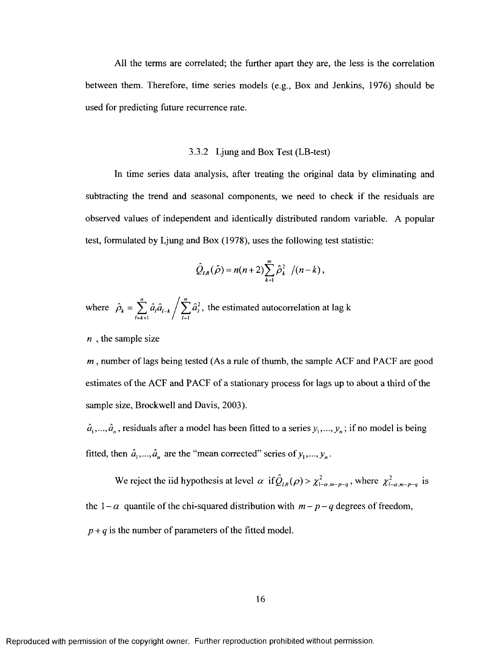All the terms are correlated; the further apart they are, the less is the correlation between them. Therefore, time series models (e.g.. Box and Jenkins, 1976) should be used for predicting future recurrence rate.

#### 3.3.2 Ljung and Box Test (LB-test)

In time series data analysis, after treating the original data by eliminating and subtracting the trend and seasonal components, we need to check if the residuals are observed values of independent and identically distributed random variable. A popular test, formulated by Ljung and Box (1978), uses the following test statistic:

$$
\hat{Q}_{LB}(\hat{\rho}) = n(n+2) \sum_{k=1}^{m} \hat{\rho}_k^2 / (n-k),
$$

*n j n* where  $\hat{\rho}_k = \sum \hat{a}_i \hat{a}_{k-k} / \sum \hat{a}_k^2$ , the estimated autocorrelation at lag k  $\sqrt{1} = k + 1$  /  $\sqrt{1} = 1$ 

*n* , the sample size

*m*, number of lags being tested (As a rule of thumb, the sample ACF and PACF are good estimates of the ACF and PACF of a stationary process for lags up to about a third of the sample size, Brockwell and Davis, 2003).

 $\hat{a}_1, ..., \hat{a}_n$ , residuals after a model has been fitted to a series  $y_1, ..., y_n$ ; if no model is being fitted, then  $\hat{a}_1, ..., \hat{a}_n$  are the "mean corrected" series of  $y_1, ..., y_n$ .

We reject the iid hypothesis at level  $\alpha$  if  $\hat{Q}_{l,k}(\rho) > \chi^2_{1-\alpha,m-p-q}$ , where  $\chi^2_{1-\alpha,m-p-q}$  is the  $1 - \alpha$  quantile of the chi-squared distribution with  $m - p - q$  degrees of freedom,  $p + q$  is the number of parameters of the fitted model.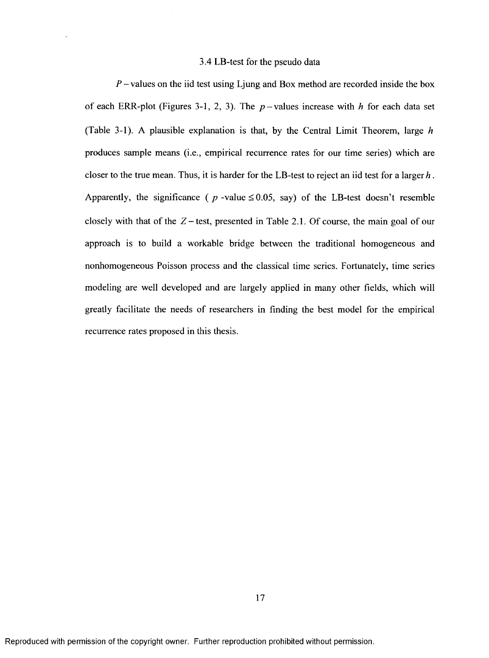## 3.4 LB-test for the pseudo data

 $P$  – values on the iid test using Ljung and Box method are recorded inside the box of each ERR-plot (Figures 3-1, 2, 3). The  $p$ -values increase with *h* for each data set (Table 3-1). A plausible explanation is that, by the Central Limit Theorem, large *h* produces sample means (i.e., empirical recurrence rates for our time series) which are closer to the true mean. Thus, it is harder for the LB-test to reject an iid test for a larger  $h$ . Apparently, the significance ( $p$ -value  $\leq 0.05$ , say) of the LB-test doesn't resemble closely with that of the  $Z$  - test, presented in Table 2.1. Of course, the main goal of our approach is to build a workable bridge between the traditional homogeneous and nonhomogeneous Poisson process and the classical time series. Fortunately, time series modeling are well developed and are largely applied in many other fields, which will greatly facilitate the needs of researchers in finding the best model for the empirical recurrence rates proposed in this thesis.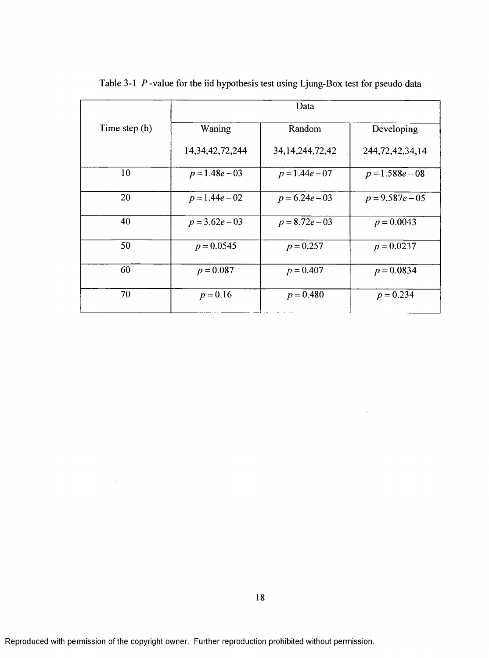|               | Data                |                     |                     |  |
|---------------|---------------------|---------------------|---------------------|--|
| Time step (h) | Waning              | Random              | Developing          |  |
|               | 14, 34, 42, 72, 244 | 34, 14, 244, 72, 42 | 244, 72, 42, 34, 14 |  |
| 10            | $p = 1.48e - 03$    | $p = 1.44e - 07$    | $p = 1.588e - 08$   |  |
| 20            | $p = 1.44e - 02$    | $p = 6.24e - 03$    | $p = 9.587e - 05$   |  |
| 40            | $p = 3.62e - 03$    | $p = 8.72e - 03$    | $p = 0.0043$        |  |
| 50            | $p = 0.0545$        | $p = 0.257$         | $p = 0.0237$        |  |
| 60            | $p = 0.087$         | $p = 0.407$         | $p = 0.0834$        |  |
| 70            | $p = 0.16$          | $p = 0.480$         | $p = 0.234$         |  |

Table 3-1 *P* -value for the iid hypothesis test using Ljung-Box test for pseudo data

 $\bar{\bar{z}}$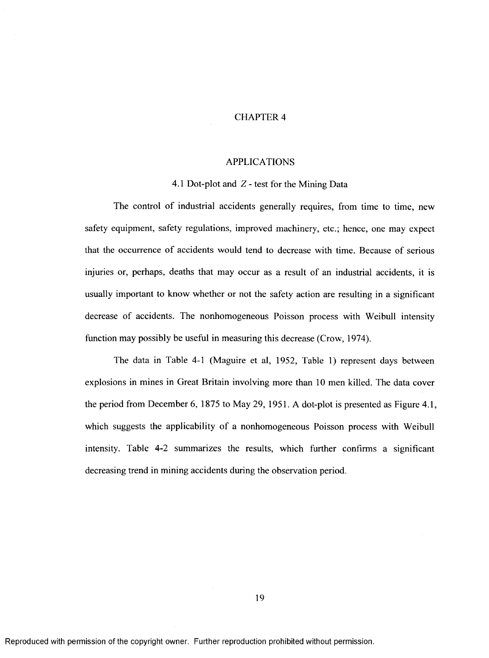#### CHAPTER 4

#### APPLICATIONS

#### 4.1 Dot-plot and Z - test for the Mining Data

The control of industrial accidents generally requires, from time to time, new safety equipment, safety regulations, improved machinery, etc.; hence, one may expect that the occurrence of accidents would tend to decrease with time. Because of serious injuries or, perhaps, deaths that may occur as a result of an industrial accidents, it is usually important to know whether or not the safety action are resulting in a significant decrease of accidents. The nonhomogeneous Poisson process with Weibull intensity function may possibly be useful in measuring this decrease (Crow, 1974).

The data in Table 4-1 (Maguire et al, 1952, Table 1) represent days between explosions in mines in Great Britain involving more than 10 men killed. The data cover the period from December 6, 1875 to May 29, 1951. A dot-plot is presented as Figure 4.1, which suggests the applicability of a nonhomogeneous Poisson process with Weibull intensity. Table 4-2 summarizes the results, which further confirms a significant decreasing trend in mining accidents during the observation period.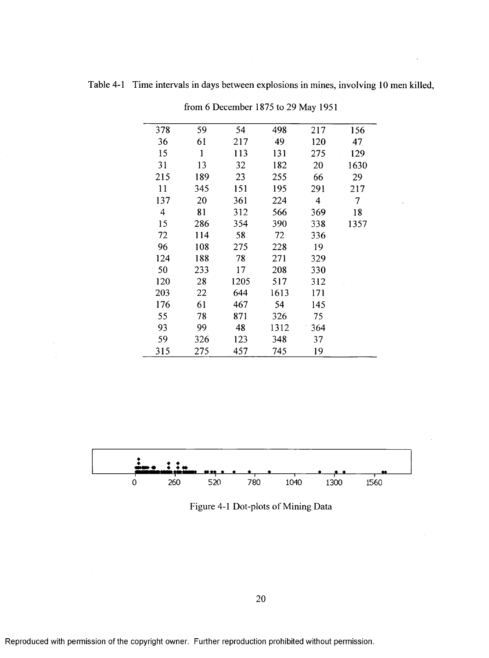| 378 | 59           | 54   | 498  | 217            | 156  |
|-----|--------------|------|------|----------------|------|
| 36  | 61           | 217  | 49   | 120            | 47   |
| 15  | $\mathbf{1}$ | 113  | 131  | 275            | 129  |
| 31  | 13           | 32   | 182  | 20             | 1630 |
| 215 | 189          | 23   | 255  | 66             | 29   |
| 11  | 345          | 151  | 195  | 291            | 217  |
| 137 | 20           | 361  | 224  | $\overline{4}$ | 7    |
| 4   | 81           | 312  | 566  | 369            | 18   |
| 15  | 286          | 354  | 390  | 338            | 1357 |
| 72  | 114          | 58   | 72   | 336            |      |
| 96  | 108          | 275  | 228  | 19             |      |
| 124 | 188          | 78   | 271  | 329            |      |
| 50  | 233          | 17   | 208  | 330            |      |
| 120 | 28           | 1205 | 517  | 312            |      |
| 203 | 22           | 644  | 1613 | 171            |      |
| 176 | 61           | 467  | 54   | 145            |      |
| 55  | 78           | 871  | 326  | 75             |      |
| 93  | 99           | 48   | 1312 | 364            |      |
| 59  | 326          | 123  | 348  | 37             |      |
| 315 | 275          | 457  | 745  | 19             |      |

Table 4-1 Time intervals in days between explosions in mines, involving 10 men killed,

from 6 December 1875 to 29 May 1951



**260 520 780 1040 1300 1560**

فع

۰



Reproduced with permission of the copyright owner. Further reproduction prohibited without permission.

 $\overline{0}$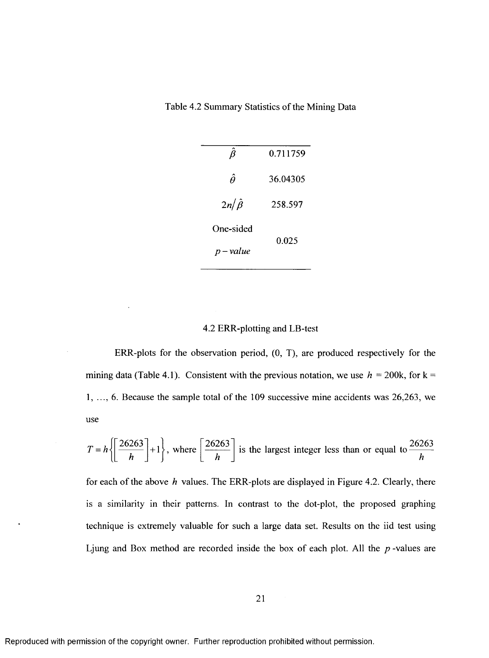Table 4.2 Summary Statistics of the Mining Data

|                  | 0.711759 |  |
|------------------|----------|--|
| Â                | 36.04305 |  |
| $2n/\hat{\beta}$ | 258.597  |  |
| One-sided        | 0.025    |  |
| $p-value$        |          |  |

# 4.2 ERR-plotting and LB-test

ERR-plots for the observation period, (0, T), are produced respectively for the mining data (Table 4.1). Consistent with the previous notation, we use  $h = 200k$ , for  $k =$ 1, ..., 6. Because the sample total of the 109 successive mine accidents was 26,263, we use

$$
T = h \left\{ \left[ \frac{26263}{h} \right] + 1 \right\}, \text{ where } \left[ \frac{26263}{h} \right] \text{ is the largest integer less than or equal to } \frac{26263}{h}
$$

for each of the above *h* values. The ERR-plots are displayed in Figure 4.2. Clearly, there is a similarity in their patterns. In contrast to the dot-plot, the proposed graphing technique is extremely valuable for such a large data set. Results on the iid test using Ljung and Box method are recorded inside the box of each plot. All the *p* -values are

 $\ddot{\phantom{0}}$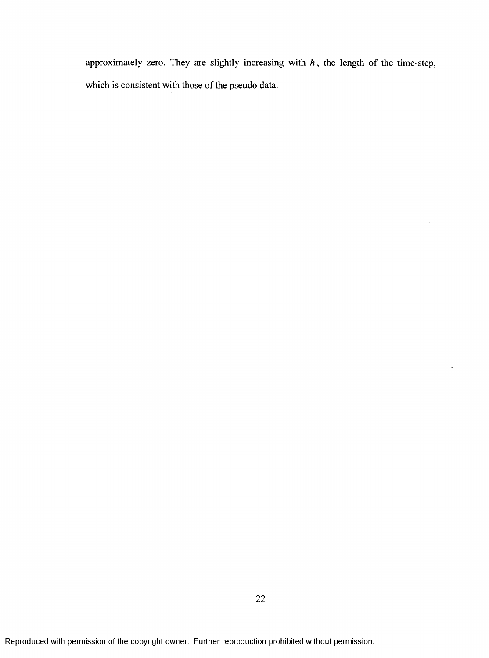approximately zero. They are slightly increasing with *h ,* the length of the time-step, which is consistent with those of the pseudo data.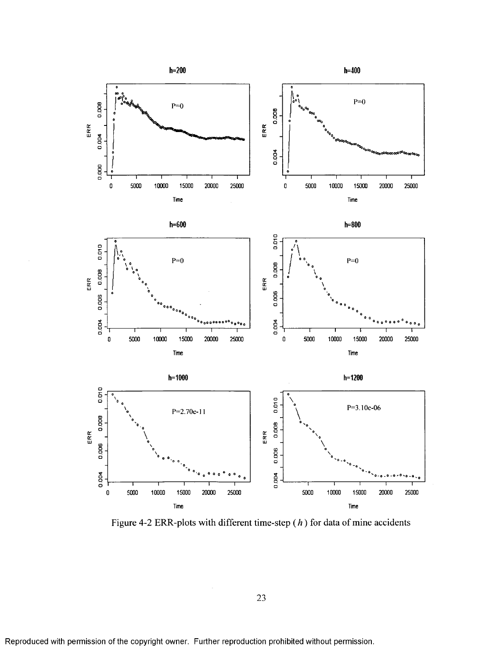

Figure 4-2 ERR-plots with different time-step  $(h)$  for data of mine accidents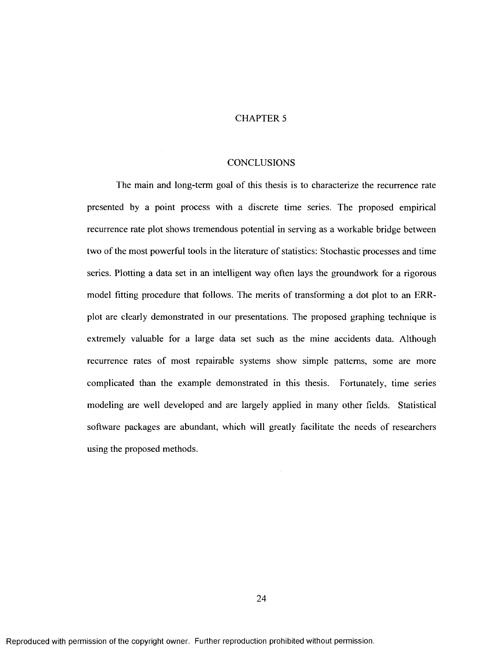# CHAPTER 5

#### **CONCLUSIONS**

The main and long-term goal of this thesis is to characterize the recurrence rate presented by a point process with a discrete time series. The proposed empirical recurrence rate plot shows tremendous potential in serving as a workable bridge between two of the most powerful tools in the literature of statistics: Stochastic processes and time series. Plotting a data set in an intelligent way often lays the groundwork for a rigorous model fitting procedure that follows. The merits of transforming a dot plot to an ERRplot are clearly demonstrated in our presentations. The proposed graphing technique is extremely valuable for a large data set such as the mine accidents data. Although recurrence rates of most repairable systems show simple patterns, some are more complicated than the example demonstrated in this thesis. Fortunately, time series modeling are well developed and are largely applied in many other fields. Statistical software packages are abundant, which will greatly facilitate the needs of researchers using the proposed methods.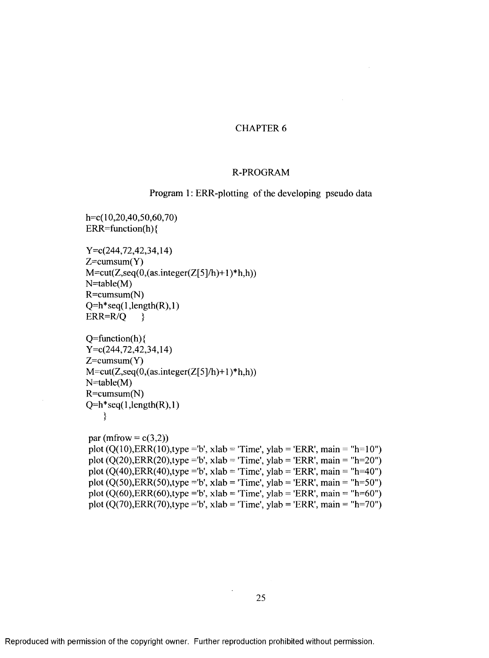## CHAPTER 6

#### R-PROGRAM

Program 1: ERR-plotting of the developing pseudo data

h=c( 10,20,40,50,60,70) ERR=function(h) {

Y=c(244,72,42,34,14)  $Z=cumsum(Y)$  $M=cut(Z,seq(0, (as.integer(Z[5]/h)+1)*h,h))$ N=table(M)  $R = cumsum(N)$  $Q=h*seq(1, length(R), 1)$  $ERR=R/Q$  }

 $Q=function(h)$ Y=c(244,72,42,34,14) Z=cumsum(Y)  $M=cut(Z,seq(0, (as.integer(Z[5]/h)+1)*h,h))$  $N=table(M)$ R=cumsum(N)  $Q=h*seq(1, length(R), 1)$ **}**

```
par (mfrow = c(3,2))
plot (Q(10),ERR(10),type = b', xlab = 'Time', ylab = 'ERR', main = "h=10")
plot (Q(20),ERR(20),type = b', xlab = 'Time', ylab = 'ERR', main = ''h=20'')plot (Q(40),ERR(40),type = b', xlab = 'Time', ylab = 'ERR', main = 'h=40'')plot (Q(50),ERR(50),type = b', xlab = 'Time', ylab = 'ERR', main = "h=50")
plot (Q(60),ERR(60),type = b', xlab = 'Time', ylab = 'ERR', main = "h=60")
plot (Q(70),ERR(70),type = b', xlab = 'Time', ylab = 'ERR', main = "h=70")
```
25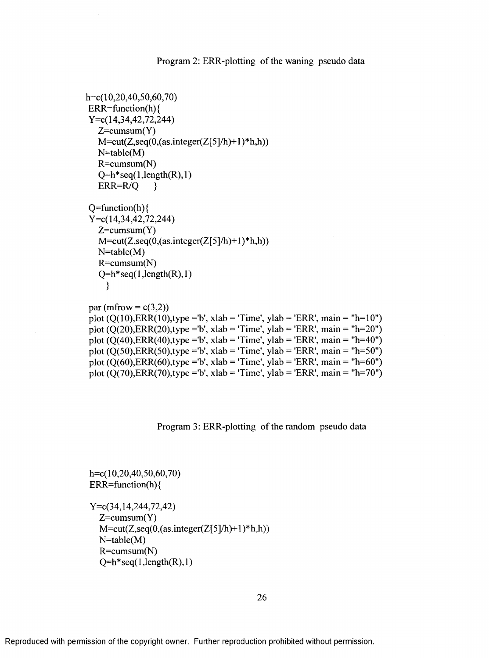```
h = c( 10, 20, 40, 50, 60, 70)ERR=function(h) {
Y=c(14,34,42,72,244)
   Z=cumsum(Y)M=cut(Z,seq(0,(as.integer(Z[5]/h)+1) * h,h))N=table(M)
   R=cumsum(N)
   Q=h*seq(1, length(R), 1)ERR=R/Q }
Q=function(h)Y=c( 14,34,42,72,244)
   Z=cumsum(Y)M=cut(Z,seq(0, (as.integer(Z[5]/h)+1)*h,h))N=table(M)
   R=cumsum(N)
   Q=h*seq(1, length(R), 1)}
par (mfrow = c(3,2))
plot (Q(10),ERR(10),type = b', xlab = 'Time', ylab = 'ERR', main = "h=10")
```

```
plot (Q(20),ERR(20),type = b', xlab = 'Time', ylab = 'ERR', main = "h=20")
plot (Q(40),ERR(40),type = b', xlab = 'Time', ylab = 'ERR', main = "h=40")
plot (Q(50),ERR(50),type = b', xlab = 'Time', ylab = 'ERR', main = "h=50")
plot (Q(60),ERR(60),type = b', xlab = 'Time', ylab = 'ERR', main = "h=60")
plot (Q(70),ERR(70),type = b', xlab = 'Time', ylab = 'ERR', main = "h=70")
```
Program 3: ERR-plotting of the random pseudo data

h=c( 10,20,40,50,60,70) ERR=function(h) {

Y=c(34,14,244,72,42)  $Z=cumsum(Y)$  $M=cut(Z,seq(0,(as.integer(Z[5]/h)+1)*h,h))$  $N=table(M)$ R=cumsum(N)  $Q=h*seq(1, length(R), 1)$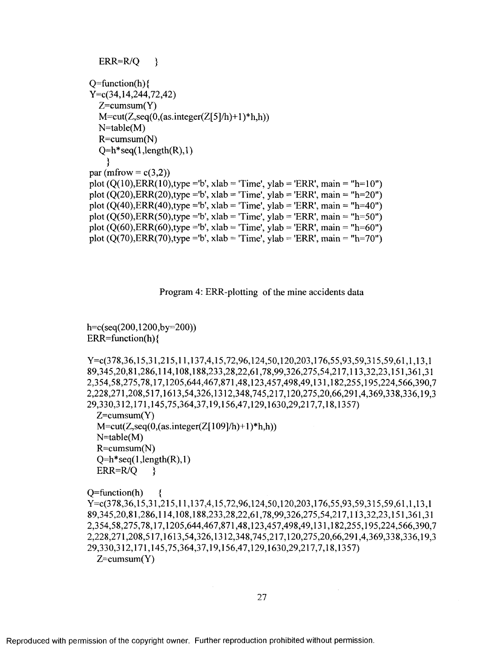```
ERR=R/O }
Q=function(h)Y=c(34,14,244,72,42)
  Z=cumsum(Y)M=cut(Z,seq(0, (as.integer(Z[5]/h)+1)*h,h))N=table(M)
  R=cumsum(N)
  Q=h*seq(1, length(R), 1)}
par (mfrow = c(3,2))
plot (Q(10),ERR(10),type = 'b', xlabel = 'Time', ylab = 'ERR', main = "h=10")plot (Q(20),ERR(20),type = b', xlabel = 'Time', ylab = 'ERR', main = 'h=20")plot (Q(40),ERR(40),type = b', xlabel = 'Time', ylab = 'ERR', main = "h=40")plot (Q(50),ERR(50),type = b', xlabel = 'Time', vlab = 'ERR', main = "h=50")plot (Q(60),ERR(60),type = b', xlabel = 'Time', ylab = 'ERR', main = "h=60")plot (Q(70),ERR(70),type = b', xlabel = 'Time', ylab = 'ERR', main = "h=70")
```
Program 4: ERR-plotting of the mine accidents data

h=c(seq(200,1200,by=200))  $ERR = function(h)$ 

Y=c(378,36,15,31,215,11,137,4,15,72,96,124,50,120,203,176,55,93,59,315,59,61,1,13,1 89.345.20.81.286.114.108.188.233.28.22.61.78.99.326.275.54.217.113.32.23.151.361.31 **2.354.58.275.78.17.1205.644.467.871.48.123.457.498.49.131.182.255.195.224.566.390.7 2.228.271.208.517.1613.54.326.1312.348.745.217.120.275.20.66.291.4.369.338.336.19.3 29.330.312.171.145.75.364.37.19.156.47.129.1630.29.217.7.18.1357)**  $Z=cumsum(Y)$  $M=cut(Z,seq(0, (as.integer(Z[109]/h)+1)*h,h))$ N=table(M) R=cumsum(N)  $Q=h*seq(1, length(R), 1)$  $ERR=R/Q$  }

 $Q=$ function(h)

Y-c(378,36,15,31,215,11,137,4,15,72,96,124,50,120,203,176,55,93,59,315,59,61,1,13,1 **89.345.20.81.286.114.108.188.233.28.22.61.78.99.326.275.54.217.113.32.23.151.361.31 2.354.58.275.78.17.1205.644.467.871.48.123.457.498.49.131.182.255.195.224.566.390.7** 2.228.271.208.517.1613.54.326.1312.348.745.217.120.275.20.66.291.4.369.338.336.19.3 **29.330.312.171.145.75.364.37.19.156.47.129.1630.29.217.7.18.1357)**  $Z=cumsum(Y)$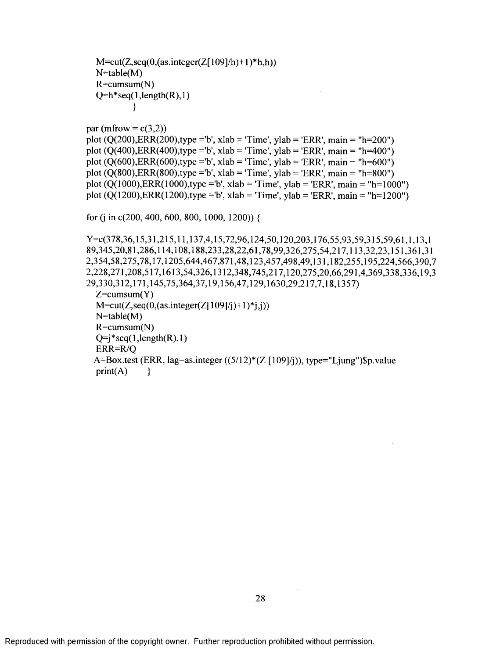$M = cut(Z, seq(0, (as. integer(Z[109]/h) + 1)*h,h))$  $N = table(M)$  $R = cumsum(N)$  $Q=h*seq(1, length(R), 1)$ **}**

par (mfrow  $= c(3,2)$ ) plot  $(Q(200),ERR(200),type = b'$ , xlab = 'Time', ylab = 'ERR', main = "h=200") plot  $(Q(400),ERR(400),type = b'$ , xlab = 'Time', ylab = 'ERR', main = "h=400") plot  $(Q(600),ERR(600),type = b'$ , xlab = 'Time', ylab = 'ERR', main = "h=600") plot  $(Q(800),ERR(800),type = b'$ , xlab = 'Time', ylab = 'ERR', main = "h=800") plot  $(Q(1000),ERR(1000),type = 'b', xlabel = 'Time', ylab = 'ERR', main = 'h=1000'')$ plot  $(O(1200),ERR(1200),type = b', xlabel = 'Time', ylab = 'ERR', main = 'h=1200'')$ 

for (j in c(200, 400, 600, 800, 1000, 1200)) {

**Y=c(378,36,15,31,215,11,137,4,15,72,96,124,50,120,203,176,55,93,59,315,59,61,1,13,1** 89,345,20,81,286,114,108,188,233,28,22,61,78,99,326,275,54,217,113,32,23,151,361,31 2,354,58,275,78,17,1205,644,467,871,48,123,457,498,49,131,182,255,195,224,566,390,7 **2,228,271,208,517,1613,54,326,1312,348,745,217,120,275,20,66,291,4,369,338,336,19,3 29,330,312,171,145,75,364,37,19,156,47,129,1630,29,217,7,18,1357)**  $Z=cumsum(Y)$  $M = cut(Z, seq(0, (as. integer(Z[109]/j)+1) * j, j))$ N=table(M) R=cumsum(N)  $Q=i$ \*seq(1,length(R),1) ERR=R/Q A=Box.test (ERR, lag=as.integer ((5/12)\*(Z [109]/j)), type="Ljung")\$p.value  $print(A)$  }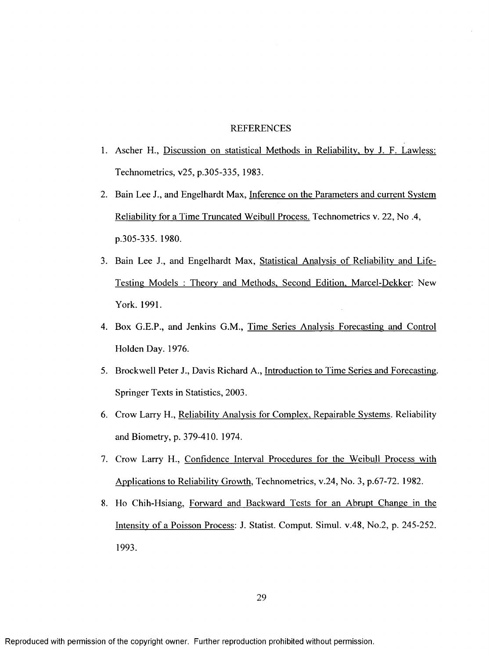#### REFERENCES

- 1. Ascher H., Discussion on statistical Methods in Reliability, by J. F. Lawless: Technometrics, v25, p.305-335, 1983.
- 2. Bain Lee J., and Engelhardt Max, Inference on the Parameters and current System Reliability for a Time Truncated Weibull Process. Technometrics y. 22, No .4, p.305-335. 1980.
- 3. Bain Lee J., and Engelhardt Max, Statistical Analysis of Reliability and Life-Testing Models : Theory and Methods, Second Edition. Marcel-Dekker: New York. 1991.
- 4. Box G.E.P., and Jenkins G.M., Time Series Analysis Forecasting and Control Holden Day. 1976.
- 5. Brockwell Peter J., Davis Richard A., Introduction to Time Series and Forecasting. Springer Texts in Statistics, 2003.
- 6. Crow Larry H., Reliability Analysis for Complex, Repairable Systems. Reliability and Biometry, p. 379-410. 1974.
- 7. Crow Larry H., Confidence Interval Procedures for the Weibull Process with Applications to Reliability Growth, Technometrics, v.24. No. 3, p.67-72. 1982.
- 8. Ho Chih-Hsiang, Forward and Backward Tests for an Abrupt Change in the Intensity of a Poisson Process: J. Statist. Comput. Simul. v.48, No.2, p. 245-252. 1993.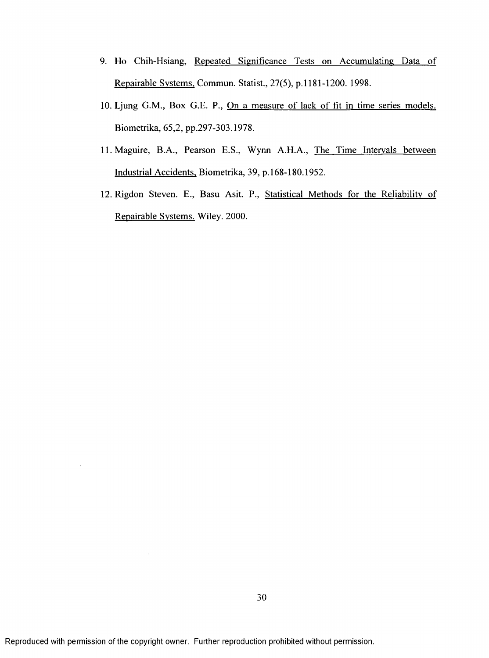- 9. Ho Chih-Hsiang, Repeated Significance Tests on Accumulating Data of Repairable Systems. Commun. Statist., 27(5), p.l 181-1200. 1998.
- 10. Ljung G.M., Box G.E. P., On a measure of lack of fit in time series models. Biometrika, 65,2, pp.297-303.1978.
- 11. Maguire, B.A., Pearson E.S., Wynn A.H.A., The Time Intervals between Industrial Accidents, Biometrika, 39, p.168-180.1952.
- 12. Rigdon Steven. E., Basu Asit. P., Statistical Methods for the Reliability of Repairable Systems. Wiley. 2000.

 $\bar{.}$